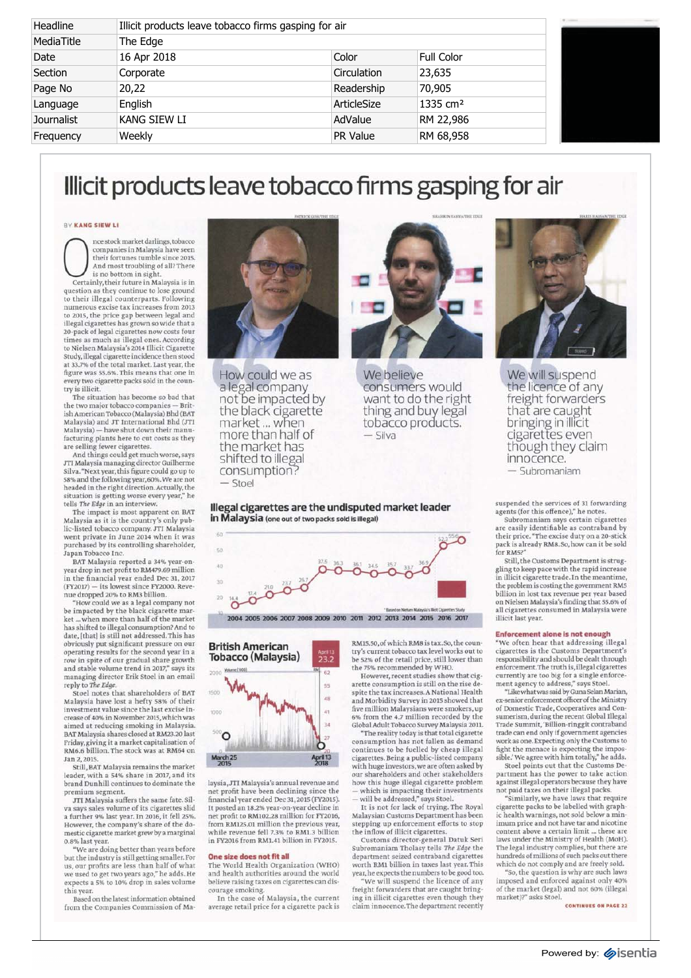| Headline          |              | Illicit products leave tobacco firms gasping for air |                      |  |  |
|-------------------|--------------|------------------------------------------------------|----------------------|--|--|
| MediaTitle        | The Edge     |                                                      |                      |  |  |
| Date              | 16 Apr 2018  | Color                                                | Full Color           |  |  |
| Section           | Corporate    | Circulation                                          | 23,635               |  |  |
| Page No           | 20,22        | Readership                                           | 70,905               |  |  |
| Language          | English      | ArticleSize                                          | 1335 cm <sup>2</sup> |  |  |
| <b>Journalist</b> | KANG SIEW LI | AdValue                                              | RM 22,986            |  |  |
| Frequency         | Weekly       | <b>PR Value</b>                                      | RM 68,958            |  |  |

# Illicit products leave tobacco firms gasping for air

## **BY KANG SIEW LI**

Francis in Malaysia have seen<br>their fortunes tumble since 2015.<br>And most troubling of all? There<br>certainly, their future in Malaysia is in nce stock market darlings, tobacco is no bottom in sight.

Certainly, their future in Malaysia is in<br>question as they continue to lose ground to their illegal counterparts. Following<br>numerous excise tax increases from 2013 to 2015, the price gap between legal and<br>illegal cigarettes has grown so wide that a 20-pack of legal cigarettes now costs four<br>times as much as illegal ones. According to Nielsen Malaysia's 2014 Illicit Cigarette<br>Study, illegal cigarette incidence then stood at 33.7% of the total market. Last year, the<br>figure was 55.6%. This means that one in every two cigarette packs sold in the coun-<br>try is illicit.

The situation has become so bad that<br>the two major tobacco companies — British American Tobacco (Malaysia) Bhd (BAT<br>Malaysia) and JT International Bhd (JTI Malaysia) — have shut down their manu-<br>facturing plants here to cut costs as they

are selling fewer cigarettes.<br>And things could get much worse, says JTI Malaysia managing director Guilherme<br>Silva. "Next year, this figure could go up to<br>58% and the following year, 60%. We are not headed in the right direction. Actually, the situation is getting worse every year," he

tells *The Edge* in an interview.<br>The impact is most apparent on BAT Malaysia as it is the country's only public-listed tobacco company. JTI Malaysia went private in June 2014 when it was<br>purchased by its controlling shareholder, Japan Tobacco Inc.

BAT Malaysia reported a 34% year-onyear drop in net profit to RM479.69 million<br>in the financial year ended Dec 31, 2017<br>(FY2017) — its lowest since FY20000. Reve-<br>nue dropped 20% to RM3 billion.

"How could we as a legal company not<br>be impacted by the black cigarette mar-<br>ket ...when more than half of the market<br>has shifted to illegal consumption? And to<br>date, [that] is still not addressed.This has obviously put significant pressure on our<br>operating results for the second year in a row in spite of our gradual share growth<br>and stable volume trend in 2017," says its

managing director Erik Stoel in an email<br>reply to The Edge.<br>Stoel notes that shareholders of BAT<br>Malaysia have lost a hefty 58% of their<br>investment value since the last excise in-<br>crease of 40% in November 2015, which was aimed at reducing smoking in Malaysia.<br>BAT Malaysia shares closed at RM23.20 last Friday, giving it a market capitalisation of<br>RM6.6 billion. The stock was at RM64 on Jan 2, 2015.

Still, BAT Malaysia remains the market leader, with a 54% share in 2017, and its<br>brand Dunhill continues to dominate the premium segment.

JTI Malaysia suffers the same fate. Silsays sales volume of its cigarettes slid a further 9% last year. In 2016, it fell 25%.<br>However, the company's share of the domestic cigarette market grew by a marginal 0.8% last year.

We are doing better than years before "<br>but the industry is still getting smaller. For us, our profits are less than half of what<br>we used to get two years ago," he adds. He expects a 5% to 10% drop in sales volume this year.

Based on the latest information obtained from the Companies Commission of Ma-



How could we as We believe<br>a legal company consumers a legal company consumers would<br>not be impacted by want to do the right the black cigarette thing<br>
market... when tobacco proce than half of  $-$  silva more than half of the market has shifted to illegal consumption? — Stoel



want to do the right thing and buy legal<br>tobacco products.

**Illegal cigarettes are the undisputed market leader in Malaysia (one out of two packs sold is illegal)** 





laysia, JTI Malaysia's annual revenue and net profit have been declining since the<br>financial year ended Dec 31,2015 (FY2015). It posted an 18.2% year-on-year decline in<br>net profit to RM102.28 million for FY2016, from RM125.01 million the previous year,<br>while revenue fell 7.3% to RM1.3 billion in FY2016 from RM1.41 billion in FY2015.

### **One size does not fit all**

The World Health Organization (WHO)<br>and health authorities around the world believe raising taxes on cigarettes can dis-<br>courage smoking.

In the case of Malaysia, the current average retail price for a cigarette pack is RM15.50, of which RM8 is tax. So, the country's current tobacco tax level works out to<br>be 52% of the retail price, still lower than the 75% recommended by WHO.<br>However, recent studies show that cig-

arette consumption is still on the rise despite the tax increases. A National Health and Morbidity Survey in 2015 showed that<br>five million Malaysians were smokers, up 6% from the 4.7 million recorded by the<br>Global Adult Tobacco Survey Malaysia 2011. "The reality today is that total cigarette consumption has not fallen as demand

continues to be fuelled by cheap illegal<br>cigarettes.Being a public-listed company<br>with huge investors,we are often asked by our shareholders and other stakeholders how this huge illegal cigarette problem — which is impacting their investments<br>— will be addressed," says Stoel.<br>— It is not for lack of trying. The Royal<br>— Malaysian Customs Department has been

stepping up enforcement efforts to stop<br>the inflow of illicit cigarettes.

Customs director-general Datuk Seri<br>Subromaniam Tholasy tells *The Edge* the department seized contraband cigarettes<br>worth RM1 billion in taxes last year. This

year, he expects the numbers to be good too.<br>"We will suspend the licence of any freight forwarders that are caught bringing in illicit cigarettes even though they claim innocence. The department recently



We will suspend the licence of any freight forwarders that are caught bringing in illicit cigarettes even though they claim innocence, — Subromaniam

suspended the services of 31 forwarding agents (for this offence)," he notes.<br>Subromaniam says certain cigarettes

are easily identifiable as contraband by<br>their price."The excise duty on a 20-stick pack is already RM8. So, how can it be sold for RM5?"

Still, the Customs Department is struggling to keep pace with the rapid increase<br>in illicit cigarette trade. In the meantime, the problem is costing the government RM5<br>billion in lost tax revenue per year based on Nielsen Malaysia's finding that 55.6% of<br>all cigarettes consumed in Malaysia were illicit last year.

#### **Enforcement alone is not enough**

We often hear that addressing illegal cigarettes is the Customs Department's responsibility and should be dealt through enforcement.The truth is, illegal cigarettes<br>currently are too big for a single enforce-<br>ment agency to address," says Stoel.<br>"Like what was said by Guna Selan Marian,

ex-senior enforcement officer of the Ministry<br>of Domestic Trade, Cooperatives and Consumerism, during the recent Global Illegal<br>Trade Summit, 'Billion-ringgit contraband trade can end only if government agencies<br>work as one. Expecting only the Customs to fight the menace is expecting the impos-<br>sible.' We agree with him totally," he adds.

Stoel points out that the Customs De-<br>partment has the power to take action against illegal operators because they have<br>not paid taxes on their illegal packs.

"Similarly, we have laws that require<br>cigarette packs to be labelled with graphic health warnings, not sold below a minimum price and not have tar and nicotine content above a certain limit ... these are laws under the Ministry of Health (MoH). The legal industry complies, but there are hundreds of millions of such packs out there<br>which do not comply and are freely sold.

"So, the question is why are such laws<br>imposed and enforced against only 40% of the market (legal) and not 60% (illegal<br>market)?" asks Stoel.

**CONTINUES ON PAGE 22**